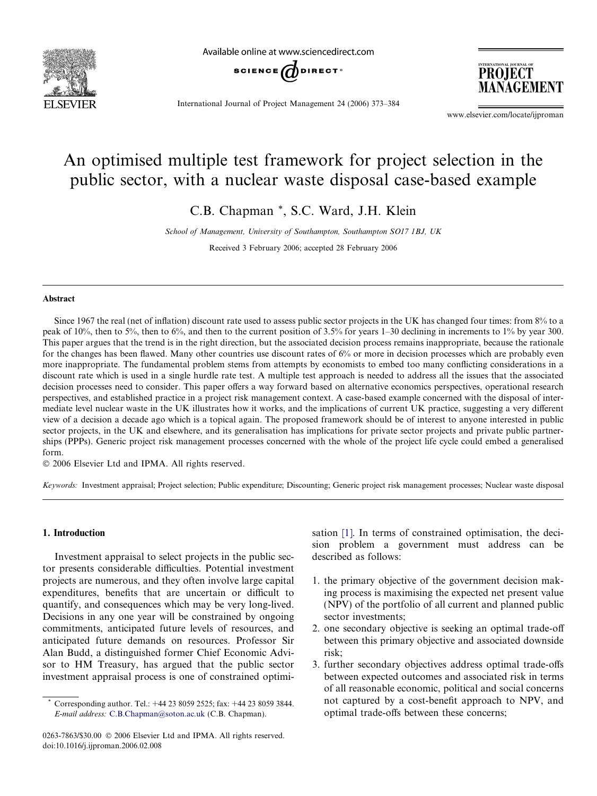

Available online at www.sciencedirect.com



International Journal of Project Management 24 (2006) 373–384

INTERNATIONAL JOURNAL OF PROJECT MANAGEMENT

www.elsevier.com/locate/ijproman

## An optimised multiple test framework for project selection in the public sector, with a nuclear waste disposal case-based example

C.B. Chapman \*, S.C. Ward, J.H. Klein

School of Management, University of Southampton, Southampton SO17 1BJ, UK Received 3 February 2006; accepted 28 February 2006

## Abstract

Since 1967 the real (net of inflation) discount rate used to assess public sector projects in the UK has changed four times: from 8% to a peak of 10%, then to 5%, then to 6%, and then to the current position of 3.5% for years 1–30 declining in increments to 1% by year 300. This paper argues that the trend is in the right direction, but the associated decision process remains inappropriate, because the rationale for the changes has been flawed. Many other countries use discount rates of 6% or more in decision processes which are probably even more inappropriate. The fundamental problem stems from attempts by economists to embed too many conflicting considerations in a discount rate which is used in a single hurdle rate test. A multiple test approach is needed to address all the issues that the associated decision processes need to consider. This paper offers a way forward based on alternative economics perspectives, operational research perspectives, and established practice in a project risk management context. A case-based example concerned with the disposal of intermediate level nuclear waste in the UK illustrates how it works, and the implications of current UK practice, suggesting a very different view of a decision a decade ago which is a topical again. The proposed framework should be of interest to anyone interested in public sector projects, in the UK and elsewhere, and its generalisation has implications for private sector projects and private public partnerships (PPPs). Generic project risk management processes concerned with the whole of the project life cycle could embed a generalised form.

 $© 2006 Elsevier Ltd and IPMA. All rights reserved.$ 

Keywords: Investment appraisal; Project selection; Public expenditure; Discounting; Generic project risk management processes; Nuclear waste disposal

## 1. Introduction

Investment appraisal to select projects in the public sector presents considerable difficulties. Potential investment projects are numerous, and they often involve large capital expenditures, benefits that are uncertain or difficult to quantify, and consequences which may be very long-lived. Decisions in any one year will be constrained by ongoing commitments, anticipated future levels of resources, and anticipated future demands on resources. Professor Sir Alan Budd, a distinguished former Chief Economic Advisor to HM Treasury, has argued that the public sector investment appraisal process is one of constrained optimisation [\[1\].](#page--1-0) In terms of constrained optimisation, the decision problem a government must address can be described as follows:

- 1. the primary objective of the government decision making process is maximising the expected net present value (NPV) of the portfolio of all current and planned public sector investments;
- 2. one secondary objective is seeking an optimal trade-off between this primary objective and associated downside risk;
- 3. further secondary objectives address optimal trade-offs between expected outcomes and associated risk in terms of all reasonable economic, political and social concerns not captured by a cost-benefit approach to NPV, and optimal trade-offs between these concerns;

<sup>\*</sup> Corresponding author. Tel.: +44 23 8059 2525; fax: +44 23 8059 3844. E-mail address: [C.B.Chapman@soton.ac.uk](mailto:C.B.Chapman@soton.ac.uk) (C.B. Chapman).

<sup>0263-7863/\$30.00 © 2006</sup> Elsevier Ltd and IPMA. All rights reserved. doi:10.1016/j.ijproman.2006.02.008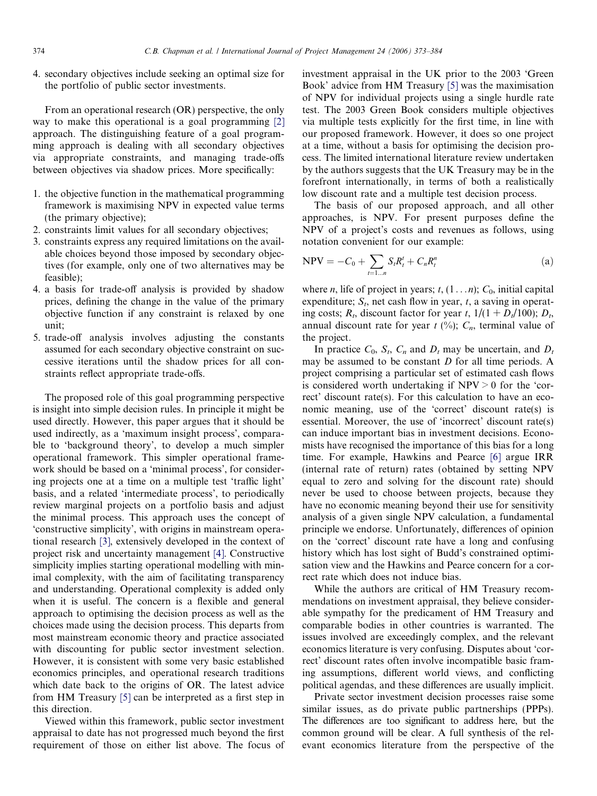4. secondary objectives include seeking an optimal size for the portfolio of public sector investments.

From an operational research (OR) perspective, the only way to make this operational is a goal programming [\[2\]](#page--1-0) approach. The distinguishing feature of a goal programming approach is dealing with all secondary objectives via appropriate constraints, and managing trade-offs between objectives via shadow prices. More specifically:

- 1. the objective function in the mathematical programming framework is maximising NPV in expected value terms (the primary objective);
- 2. constraints limit values for all secondary objectives;
- 3. constraints express any required limitations on the available choices beyond those imposed by secondary objectives (for example, only one of two alternatives may be feasible);
- 4. a basis for trade-off analysis is provided by shadow prices, defining the change in the value of the primary objective function if any constraint is relaxed by one unit;
- 5. trade-off analysis involves adjusting the constants assumed for each secondary objective constraint on successive iterations until the shadow prices for all constraints reflect appropriate trade-offs.

The proposed role of this goal programming perspective is insight into simple decision rules. In principle it might be used directly. However, this paper argues that it should be used indirectly, as a 'maximum insight process', comparable to 'background theory', to develop a much simpler operational framework. This simpler operational framework should be based on a 'minimal process', for considering projects one at a time on a multiple test 'traffic light' basis, and a related 'intermediate process', to periodically review marginal projects on a portfolio basis and adjust the minimal process. This approach uses the concept of 'constructive simplicity', with origins in mainstream operational research [\[3\],](#page--1-0) extensively developed in the context of project risk and uncertainty management [\[4\]](#page--1-0). Constructive simplicity implies starting operational modelling with minimal complexity, with the aim of facilitating transparency and understanding. Operational complexity is added only when it is useful. The concern is a flexible and general approach to optimising the decision process as well as the choices made using the decision process. This departs from most mainstream economic theory and practice associated with discounting for public sector investment selection. However, it is consistent with some very basic established economics principles, and operational research traditions which date back to the origins of OR. The latest advice from HM Treasury [\[5\]](#page--1-0) can be interpreted as a first step in this direction.

Viewed within this framework, public sector investment appraisal to date has not progressed much beyond the first requirement of those on either list above. The focus of investment appraisal in the UK prior to the 2003 'Green Book' advice from HM Treasury [\[5\]](#page--1-0) was the maximisation of NPV for individual projects using a single hurdle rate test. The 2003 Green Book considers multiple objectives via multiple tests explicitly for the first time, in line with our proposed framework. However, it does so one project at a time, without a basis for optimising the decision process. The limited international literature review undertaken by the authors suggests that the UK Treasury may be in the forefront internationally, in terms of both a realistically low discount rate and a multiple test decision process.

The basis of our proposed approach, and all other approaches, is NPV. For present purposes define the NPV of a project's costs and revenues as follows, using notation convenient for our example:

$$
NPV = -C_0 + \sum_{t=1...n} S_t R_t^t + C_n R_t^n \tag{a}
$$

where *n*, life of project in years;  $t$ ,  $(1...n)$ ;  $C_0$ , initial capital expenditure;  $S_t$ , net cash flow in year, t, a saving in operating costs;  $R_t$ , discount factor for year t,  $1/(1 + D_t/100)$ ;  $D_t$ , annual discount rate for year  $t$  (%);  $C_n$ , terminal value of the project.

In practice  $C_0$ ,  $S_t$ ,  $C_n$  and  $D_t$  may be uncertain, and  $D_t$ may be assumed to be constant  $D$  for all time periods. A project comprising a particular set of estimated cash flows is considered worth undertaking if  $NPV > 0$  for the 'correct' discount rate(s). For this calculation to have an economic meaning, use of the 'correct' discount rate(s) is essential. Moreover, the use of 'incorrect' discount rate(s) can induce important bias in investment decisions. Economists have recognised the importance of this bias for a long time. For example, Hawkins and Pearce [\[6\]](#page--1-0) argue IRR (internal rate of return) rates (obtained by setting NPV equal to zero and solving for the discount rate) should never be used to choose between projects, because they have no economic meaning beyond their use for sensitivity analysis of a given single NPV calculation, a fundamental principle we endorse. Unfortunately, differences of opinion on the 'correct' discount rate have a long and confusing history which has lost sight of Budd's constrained optimisation view and the Hawkins and Pearce concern for a correct rate which does not induce bias.

While the authors are critical of HM Treasury recommendations on investment appraisal, they believe considerable sympathy for the predicament of HM Treasury and comparable bodies in other countries is warranted. The issues involved are exceedingly complex, and the relevant economics literature is very confusing. Disputes about 'correct' discount rates often involve incompatible basic framing assumptions, different world views, and conflicting political agendas, and these differences are usually implicit.

Private sector investment decision processes raise some similar issues, as do private public partnerships (PPPs). The differences are too significant to address here, but the common ground will be clear. A full synthesis of the relevant economics literature from the perspective of the